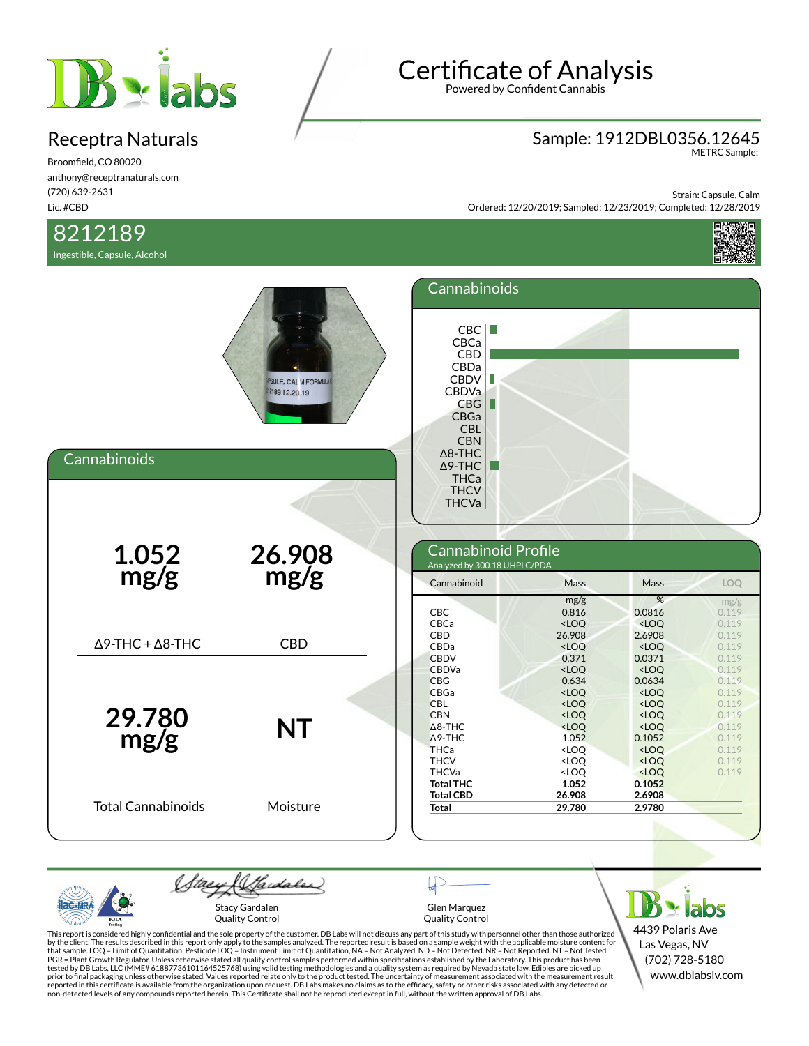

Broomfield, CO 80020 anthony@receptranaturals.com (720) 639-2631 Lic. #CBD

### 8212189

Ingestible, Capsule, Alcohol

# Certificate of Analysis

Powered by Confident Cannabis

## Sample: 1912DBL0356.12645 METRC Sample:

Strain: Capsule, Calm Ordered: 12/20/2019; Sampled: 12/23/2019; Completed: 12/28/2019



| Cannabinoids                    | <b>IPSULE, CAL VI FORMULAR</b><br>12189 12.20.19 | Cannabinoids<br>CBC<br>CBCa<br><b>CBD</b><br>CBDa<br>CBDV<br>CBDVa<br>CBG<br>Ш<br>CBGa<br><b>CBL</b><br><b>CBN</b><br>$\Delta$ 8-THC<br>$\Delta$ 9-THC<br><b>THCa</b><br><b>THCV</b><br><b>THCVa</b> |                                                                                                                                                                                                                                                                                                                                                                                                                                                                                |                                                                                                                                                                                                                              |                                                                                        |
|---------------------------------|--------------------------------------------------|------------------------------------------------------------------------------------------------------------------------------------------------------------------------------------------------------|--------------------------------------------------------------------------------------------------------------------------------------------------------------------------------------------------------------------------------------------------------------------------------------------------------------------------------------------------------------------------------------------------------------------------------------------------------------------------------|------------------------------------------------------------------------------------------------------------------------------------------------------------------------------------------------------------------------------|----------------------------------------------------------------------------------------|
| $\frac{1.052}{mg/g}$            | 26.908<br>mg/g                                   | Cannabinoid Profile<br>Analyzed by 300.18 UHPLC/PDA<br>Cannabinoid                                                                                                                                   | Mass                                                                                                                                                                                                                                                                                                                                                                                                                                                                           | Mass                                                                                                                                                                                                                         | LOQ                                                                                    |
| $\Delta$ 9-THC + $\Delta$ 8-THC | <b>CBD</b>                                       | <b>CBC</b><br>CBCa<br><b>CBD</b><br>CBDa<br><b>CBDV</b>                                                                                                                                              | mg/g<br>0.816<br>$<$ LOQ<br>26.908<br>$<$ LOQ<br>0.371                                                                                                                                                                                                                                                                                                                                                                                                                         | %<br>0.0816<br>$<$ LOQ<br>2.6908<br>$<$ LOQ<br>0.0371                                                                                                                                                                        | mg/g<br>0.119<br>0.119<br>0.119<br>0.119<br>0.119                                      |
| 29.780<br>mg/g                  | <b>NT</b>                                        | <b>CBDVa</b><br><b>CBG</b><br>CBGa<br><b>CBL</b><br><b>CBN</b><br>$\triangle$ 8-THC<br>$\triangle$ 9-THC<br><b>THCa</b><br><b>THCV</b><br><b>THCVa</b>                                               | $<$ LOQ<br>0.634<br>$<$ LOQ<br>$<$ LOQ<br>$<$ LOQ<br><loq<br>1.052<br/><loq<br><loq<br><loq< th=""><th><math>&lt;</math>LOQ<br/>0.0634<br/><math>&lt;</math>LOQ<br/><math>&lt;</math>LOQ<br/><math>&lt;</math>LOQ<br/><math>&lt;</math>LOQ<br/>0.1052<br/><math>&lt;</math>LOQ<br/><math>&lt;</math>LOQ<br/><loq< th=""><th>0.119<br/>0.119<br/>0.119<br/>0.119<br/>0.119<br/>0.119<br/>0.119<br/>0.119<br/>0.119<br/>0.119</th></loq<></th></loq<></loq<br></loq<br></loq<br> | $<$ LOQ<br>0.0634<br>$<$ LOQ<br>$<$ LOQ<br>$<$ LOQ<br>$<$ LOQ<br>0.1052<br>$<$ LOQ<br>$<$ LOQ<br><loq< th=""><th>0.119<br/>0.119<br/>0.119<br/>0.119<br/>0.119<br/>0.119<br/>0.119<br/>0.119<br/>0.119<br/>0.119</th></loq<> | 0.119<br>0.119<br>0.119<br>0.119<br>0.119<br>0.119<br>0.119<br>0.119<br>0.119<br>0.119 |
| <b>Total Cannabinoids</b>       | Moisture                                         | <b>Total THC</b><br><b>Total CBD</b><br><b>Total</b>                                                                                                                                                 | 1.052<br>26.908<br>29.780                                                                                                                                                                                                                                                                                                                                                                                                                                                      | 0.1052<br>2.6908<br>2.9780                                                                                                                                                                                                   |                                                                                        |

(Sadales) (tae  $B$  x labs ac-MR Stacy Gardalen Glen Marquez Quality Control Quality Control PJLA

This report is considered highly confidential and the sole property of the customer. DB Labs will not discuss any part of this study with personnel other than those authorized<br>by the client. The results described in this r

4439 Polaris Ave Las Vegas, NV (702) 728-5180 www.dblabslv.com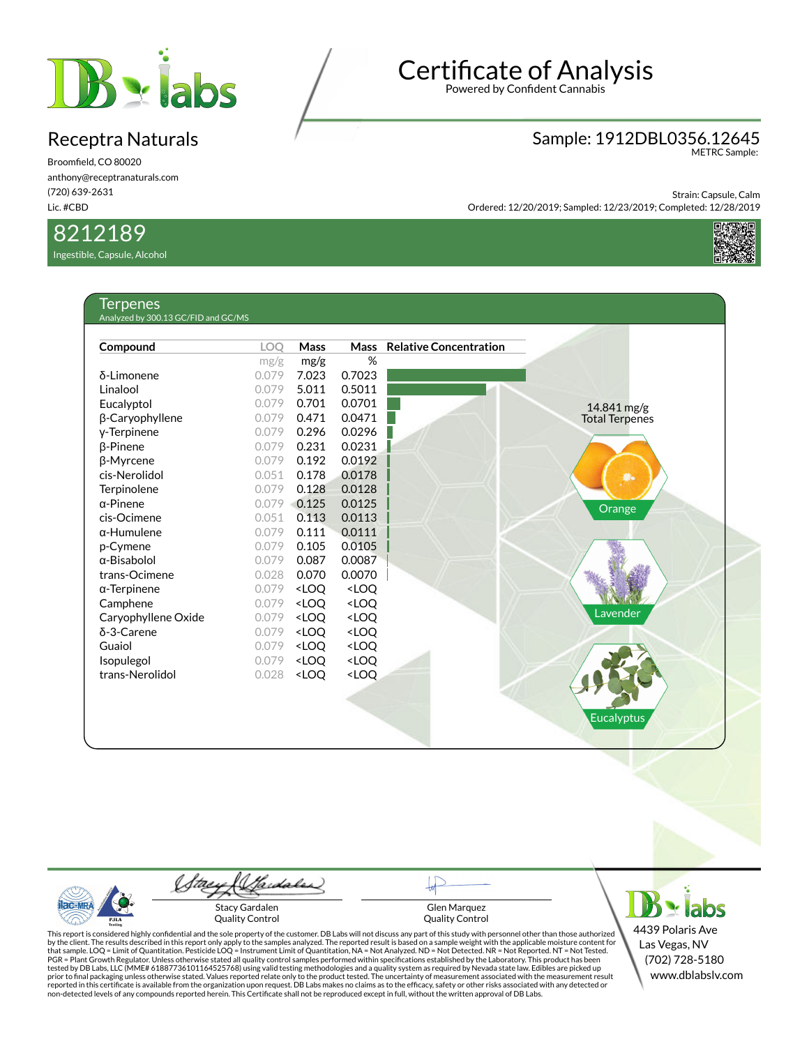

Broomfield, CO 80020 anthony@receptranaturals.com (720) 639-2631 Lic. #CBD

### 8212189

Ingestible, Capsule, Alcohol

# Certificate of Analysis

Powered by Confident Cannabis

### Sample: 1912DBL0356.12645 METRC Sample:

Strain: Capsule, Calm Ordered: 12/20/2019; Sampled: 12/23/2019; Completed: 12/28/2019



| Compound            | <b>LOO</b> | Mass                                                                      | <b>Mass</b>                                   | <b>Relative Concentration</b> |                       |
|---------------------|------------|---------------------------------------------------------------------------|-----------------------------------------------|-------------------------------|-----------------------|
|                     | mg/g       | mg/g                                                                      | %                                             |                               |                       |
| δ-Limonene          | 0.079      | 7.023                                                                     | 0.7023                                        |                               |                       |
| Linalool            | 0.079      | 5.011                                                                     | 0.5011                                        |                               |                       |
| Eucalyptol          | 0.079      | 0.701                                                                     | 0.0701                                        |                               | 14.841 mg/g           |
| β-Caryophyllene     | 0.079      | 0.471                                                                     | 0.0471                                        |                               | <b>Total Terpenes</b> |
| y-Terpinene         | 0.079      | 0.296                                                                     | 0.0296                                        |                               |                       |
| $\beta$ -Pinene     | 0.079      | 0.231                                                                     | 0.0231                                        |                               |                       |
| β-Myrcene           | 0.079      | 0.192                                                                     | 0.0192                                        |                               |                       |
| cis-Nerolidol       | 0.051      | 0.178                                                                     | 0.0178                                        |                               | Ø.                    |
| Terpinolene         | 0.079      | 0.128                                                                     | 0.0128                                        |                               |                       |
| $\alpha$ -Pinene    | 0.079      | 0.125                                                                     | 0.0125                                        |                               | Orange                |
| cis-Ocimene         | 0.051      | 0.113                                                                     | 0.0113                                        |                               |                       |
| $\alpha$ -Humulene  | 0.079      | 0.111                                                                     | 0.0111                                        |                               |                       |
| p-Cymene            | 0.079      | 0.105                                                                     | 0.0105                                        |                               |                       |
| $\alpha$ -Bisabolol | 0.079      | 0.087                                                                     | 0.0087                                        |                               |                       |
| trans-Ocimene       | 0.028      | 0.070                                                                     | 0.0070                                        |                               |                       |
| $\alpha$ -Terpinene | 0.079      | <loq< td=""><td><loq< td=""><td></td><td></td></loq<></td></loq<>         | <loq< td=""><td></td><td></td></loq<>         |                               |                       |
| Camphene            | 0.079      | <loq< td=""><td><loq< td=""><td></td><td></td></loq<></td></loq<>         | <loq< td=""><td></td><td></td></loq<>         |                               |                       |
| Caryophyllene Oxide | 0.079      | <loq< td=""><td><loq< td=""><td></td><td>Lavender</td></loq<></td></loq<> | <loq< td=""><td></td><td>Lavender</td></loq<> |                               | Lavender              |
| δ-3-Carene          | 0.079      | <loq< td=""><td><loq< td=""><td></td><td></td></loq<></td></loq<>         | <loq< td=""><td></td><td></td></loq<>         |                               |                       |
| Guaiol              | 0.079      | <loq< td=""><td><loq< td=""><td></td><td></td></loq<></td></loq<>         | <loq< td=""><td></td><td></td></loq<>         |                               |                       |
| Isopulegol          | 0.079      | <loq< td=""><td><loq< td=""><td></td><td></td></loq<></td></loq<>         | <loq< td=""><td></td><td></td></loq<>         |                               |                       |
| trans-Nerolidol     | 0.028      | <loq< td=""><td><loq< td=""><td></td><td></td></loq<></td></loq<>         | <loq< td=""><td></td><td></td></loq<>         |                               |                       |
|                     |            |                                                                           |                                               |                               |                       |
|                     |            |                                                                           |                                               |                               |                       |



tae

ac-MR

PJL/

 $B \cdot$ labs 4439 Polaris Ave Las Vegas, NV (702) 728-5180 www.dblabslv.com

This report is considered highly confidential and the sole property of the customer. DB Labs will not discuss any part of this study with personnel other than those authorized<br>by the client. The results described in this r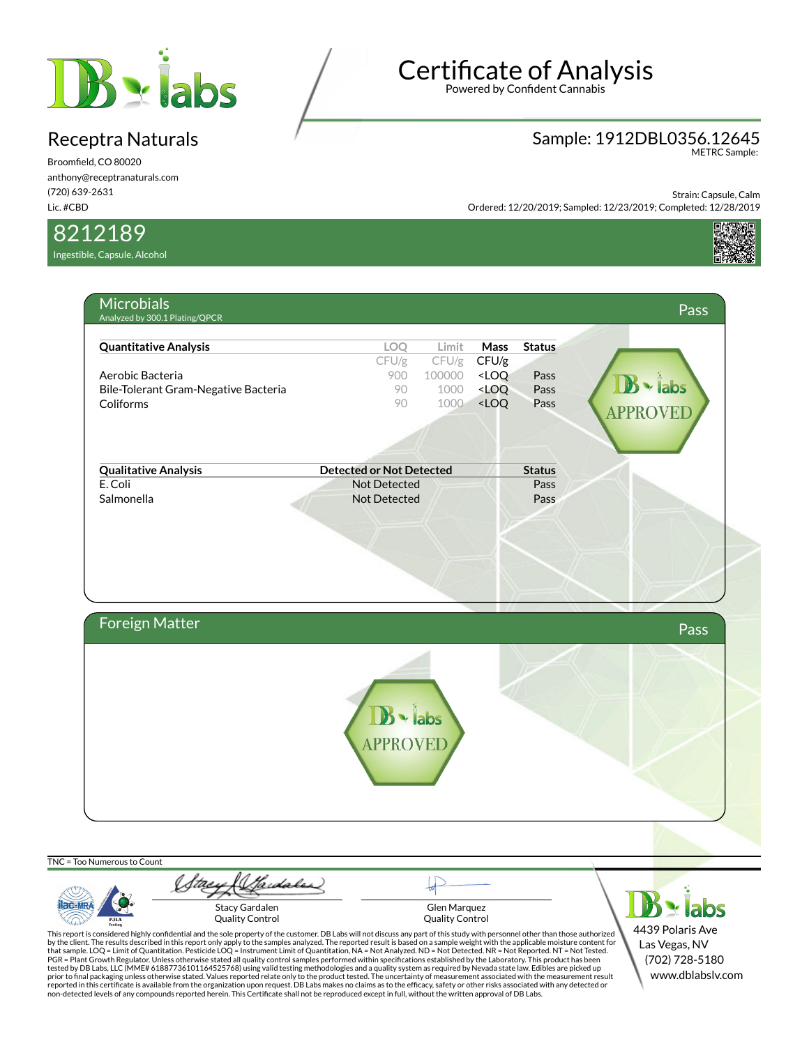

Broomfield, CO 80020 anthony@receptranaturals.com (720) 639-2631 Lic. #CBD

8212189

Ingestible, Capsule, Alcohol

# Certificate of Analysis

Powered by Confident Cannabis

### Sample: 1912DBL0356.12645 METRC Sample:

Strain: Capsule, Calm Ordered: 12/20/2019; Sampled: 12/23/2019; Completed: 12/28/2019



This report is considered highly confidential and the sole property of the customer. DB Labs will not discuss any part of this study with personnel other than those authorized<br>by the client. The results described in this r tested by DB Labs, LLC (MME# 61887736101164525768) using valid testing methodologies and a quality system as required by Nevada state law. Edibles are picked up<br>prior to final packaging unless otherwise stated. Values repo